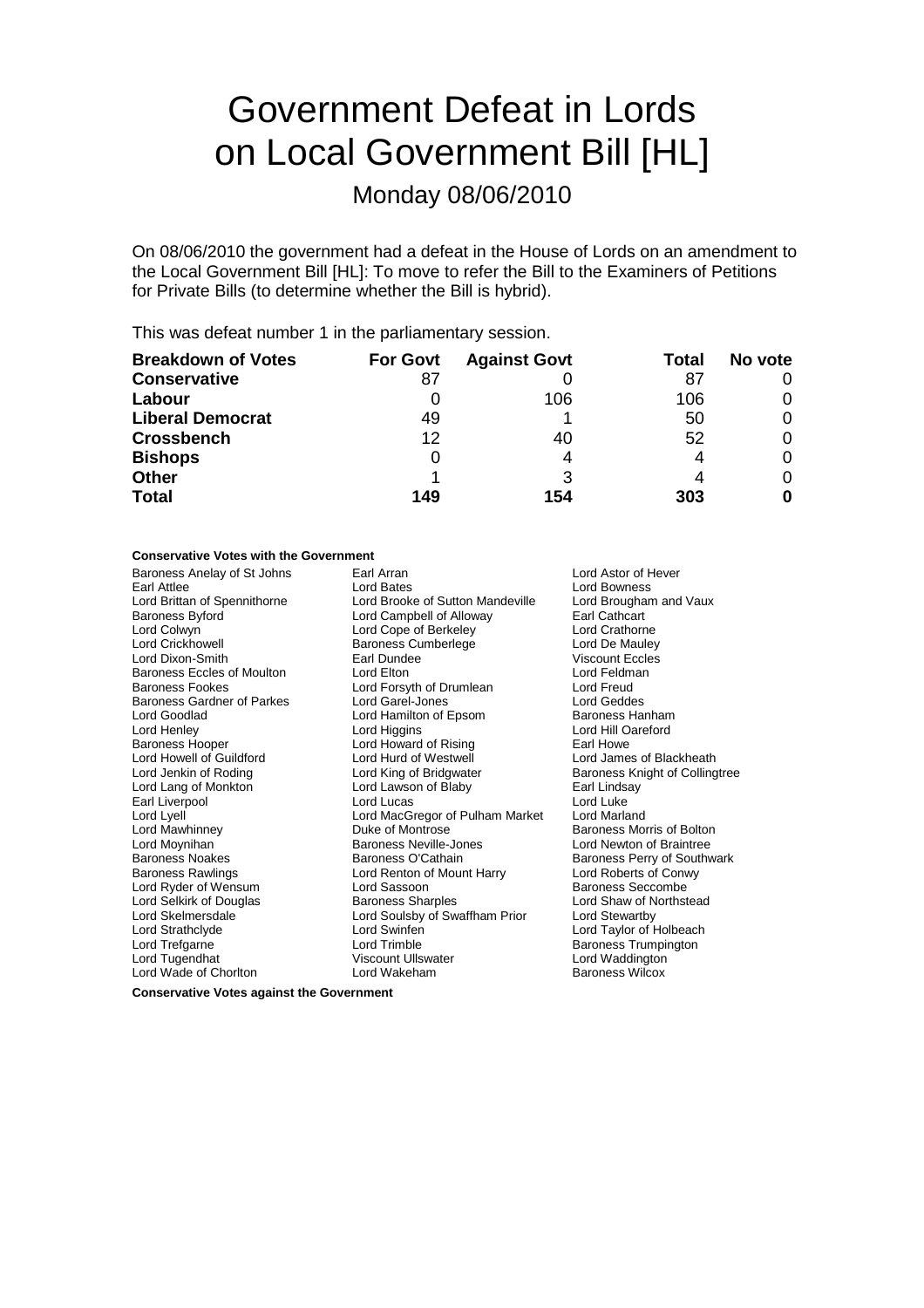# Government Defeat in Lords on Local Government Bill [HL]

Monday 08/06/2010

On 08/06/2010 the government had a defeat in the House of Lords on an amendment to the Local Government Bill [HL]: To move to refer the Bill to the Examiners of Petitions for Private Bills (to determine whether the Bill is hybrid).

This was defeat number 1 in the parliamentary session.

| <b>Breakdown of Votes</b> | <b>For Govt</b> | <b>Against Govt</b> | Total | No vote |
|---------------------------|-----------------|---------------------|-------|---------|
| <b>Conservative</b>       |                 |                     | 87    |         |
| Labour                    |                 | 106                 | 106   |         |
| <b>Liberal Democrat</b>   | 49              |                     | 50    |         |
| <b>Crossbench</b>         | 12              | 40                  | 52    |         |
| <b>Bishops</b>            |                 | 4                   |       |         |
| <b>Other</b>              |                 | 3                   |       |         |
| <b>Total</b>              | 149             | 154                 | 303   |         |

### **Conservative Votes with the Government**

| Baroness Anelay of St Johns       | Earl Arran<br>Lord Astor of Hever                          |                                |  |
|-----------------------------------|------------------------------------------------------------|--------------------------------|--|
| Earl Attlee                       | Lord Bates                                                 | <b>Lord Bowness</b>            |  |
| Lord Brittan of Spennithorne      | Lord Brooke of Sutton Mandeville<br>Lord Brougham and Vaux |                                |  |
| <b>Baroness Byford</b>            | Lord Campbell of Alloway<br>Earl Cathcart                  |                                |  |
| Lord Colwyn                       | Lord Cope of Berkeley<br>Lord Crathorne                    |                                |  |
| Lord Crickhowell                  | <b>Baroness Cumberlege</b><br>Lord De Mauley               |                                |  |
| Lord Dixon-Smith                  | Earl Dundee                                                | Viscount Eccles                |  |
| <b>Baroness Eccles of Moulton</b> | Lord Elton                                                 | Lord Feldman                   |  |
| <b>Baroness Fookes</b>            | Lord Forsyth of Drumlean                                   | Lord Freud                     |  |
| <b>Baroness Gardner of Parkes</b> | Lord Garel-Jones                                           | Lord Geddes                    |  |
| Lord Goodlad                      | Lord Hamilton of Epsom                                     | Baroness Hanham                |  |
| Lord Henley                       | Lord Higgins                                               | Lord Hill Oareford             |  |
| <b>Baroness Hooper</b>            | Lord Howard of Rising                                      | Earl Howe                      |  |
| Lord Howell of Guildford          | Lord Hurd of Westwell                                      | Lord James of Blackheath       |  |
| Lord Jenkin of Roding             | Lord King of Bridgwater                                    | Baroness Knight of Collingtree |  |
| Lord Lang of Monkton              | Lord Lawson of Blaby                                       | Earl Lindsay                   |  |
| Earl Liverpool                    | Lord Lucas                                                 | Lord Luke                      |  |
| Lord Lyell                        | Lord MacGregor of Pulham Market                            | Lord Marland                   |  |
| Lord Mawhinney                    | Duke of Montrose                                           | Baroness Morris of Bolton      |  |
| Lord Moynihan                     | <b>Baroness Neville-Jones</b>                              | Lord Newton of Braintree       |  |
| <b>Baroness Noakes</b>            | Baroness O'Cathain                                         | Baroness Perry of Southwark    |  |
| <b>Baroness Rawlings</b>          | Lord Renton of Mount Harry                                 | Lord Roberts of Conwy          |  |
| Lord Ryder of Wensum              | Lord Sassoon                                               | Baroness Seccombe              |  |
| Lord Selkirk of Douglas           | <b>Baroness Sharples</b>                                   | Lord Shaw of Northstead        |  |
| Lord Skelmersdale                 | Lord Soulsby of Swaffham Prior                             | Lord Stewartby                 |  |
| Lord Strathclyde                  | Lord Swinfen                                               | Lord Taylor of Holbeach        |  |
| Lord Trefgarne                    | Lord Trimble                                               | Baroness Trumpington           |  |
| Lord Tugendhat                    | <b>Viscount Ullswater</b>                                  | Lord Waddington                |  |
| Lord Wade of Chorlton             | Lord Wakeham                                               | <b>Baroness Wilcox</b>         |  |
|                                   |                                                            |                                |  |

**Conservative Votes against the Government**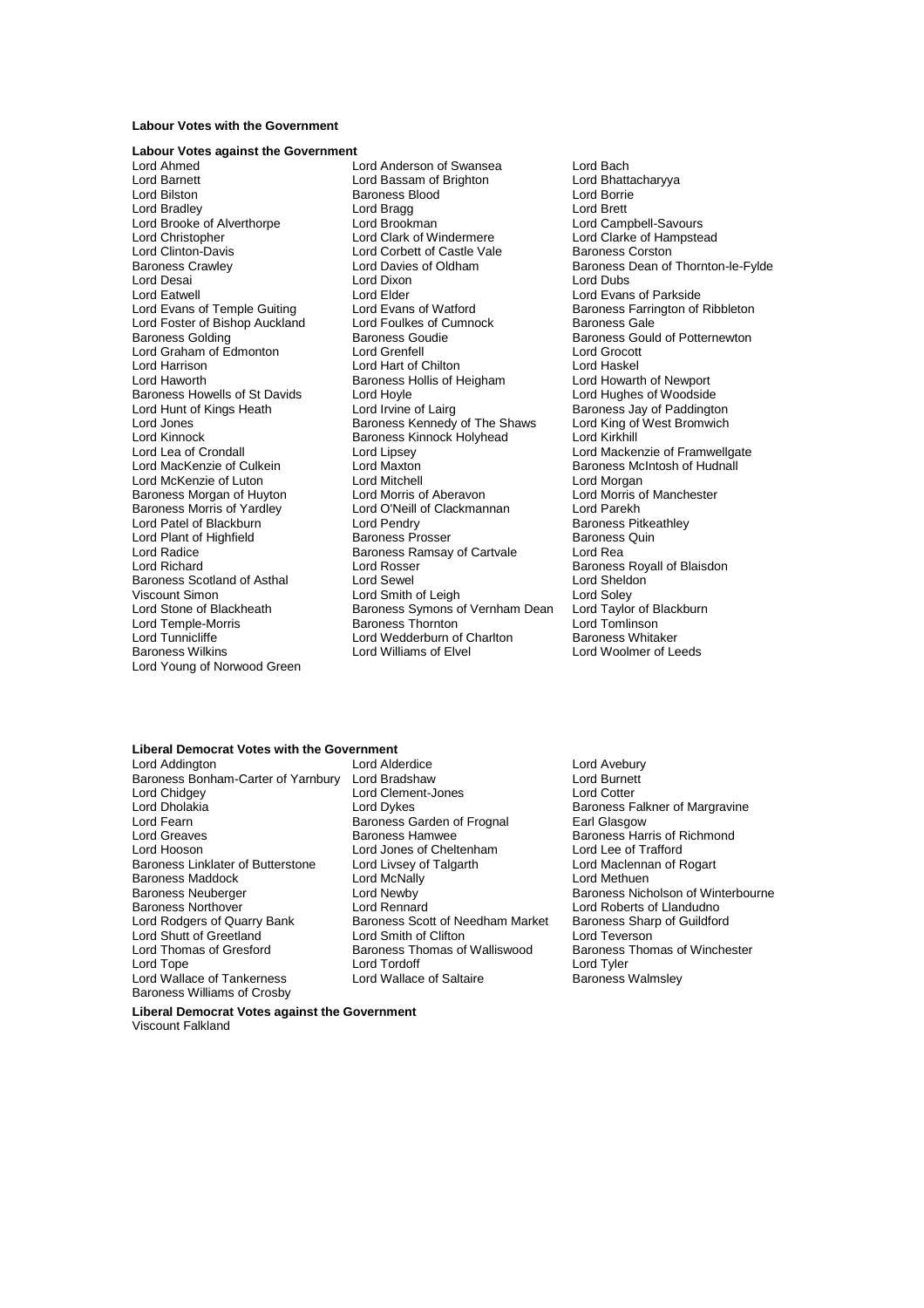#### **Labour Votes with the Government**

### **Labour Votes against the Government**

Lord Barnett Lord Bassam of Brighton<br>Lord Bilston Lord Barness Blood Lord Brooke of Alverthorpe Lord Brookman<br>
Lord Christopher Lord Clark of Windermere Lord Foster of Bishop Auckland Lord Foulkes of C<br>Baroness Golding Baroness Goudie Lord Haworth **Baroness Hollis of Heigham**<br>Baroness Howells of St Davids **Conta** Lord Hoyle Lord Kinnock<br>
Lord Lea of Crondall<br>
Lord Linsey<br>
Lord Linsey Baroness Morgan of Huyton Lord Plant of Highfield<br>Lord Radice Viscount Simon **Lord Smith of Leigh**<br>
Lord Stone of Blackheath **Lord Saroness Symons** o Lord Tunnicliffe Lord Wedderburn of Charlton Baroness Wilkins Lord Welderburn of Charlton Baroness Wilkins Lord Young of Norwood Green

Lord Ahmed<br>
Lord Anderson of Swansea Lord Bach<br>
Lord Bach Lord Bach Lord Bhattacharyya<br>
Lord Bhattacharyya Baroness Blood and Lord Borrie<br>
Lord Bragg<br>
Lord Brett Lord Bradley **Communist Communist Lord Bragg** Lord Brett Lord Brett Lord Brooken Lord Brooken Lord Brooken Lord Brooken Lord Brooken Lord Brooken Lord Brooken Lord Brooken Lord Brooken Lord Brooken Lord Brooken Lord Brooke Lord Clinton-Davis **Lord Corbett of Castle Vale Castle Baroness Corston**<br>
Baroness Crawley **Baroness Dean of Lord Davies of Oldham** Baroness Dean of Baroness Crawley **Example 2** Lord Davies of Oldham Baroness Dean of Thornton-le-Fylde<br>
Lord Desai Lord Dixon Lord Dubs Lord Dixon Lord Dubs<br>
Lord Elder Lord Evans Lord Eatwell **Communist Club Lord Elder** Lord Evans of Parkside<br>
Lord Evans of Temple Guiting Lord Evans of Watford **Example Baroness Farrington** of Lord Evans of Watford<br>
Lord Foulkes of Cumnock<br>
Baroness Gale<br>
Baroness Gale Lord Graham of Edmonton Lord Grenfell Lord Grocott Lord Harrison **Lord Hart of Chilton** Lord Hart of Chilton Lord Haskel<br>Lord Haworth **Lord Howarth of Newport** Baroness Hollis of Heigham Lord Howarth of Newport Lord Hunt of Kings Heath Lord Irvine of Lairg Baroness Jay of Paddington<br>Lord Jones Baroness Kennedy of The Shaws Lord King of West Bromwich Lord Jones The Shaws Baroness Kennedy of The Shaws Lord King of Lord King of The Shaws Lord King of West Bromess Kinnock Holyhead Lord Lea of Crondall **Lord Lord Lipsey** Lord Mackenzie of Framwellgate<br>
Lord MacKenzie of Culkein **Lord Maxton** Lord Maxton Baroness McIntosh of Hudnall Lord Maxton **Culke Culke Culter** Cultures Maxton Baroness McIntosh of Hudnall<br>Lord Mitchell **Baroness McIntosh Culke** Lord Morgan Lord McKenzie of Luton **Lord Mitchell** Lord Morgan<br>
Baroness Morgan of Huvton **Lord Morris of Aberavon** Lord Morris of Manchester Baroness Morris of Yardley Lord O'Neill of Clackmannan Lord Parekh Lord Patel of Blackburn **Lord Pendry Communist Communist Patel Baroness Pitke**<br>Lord Plant of Highfield **Baroness Prosser** Baroness Quin Baroness Ramsay of Cartvale Lord Rea Lord Richard **Communist Communist Communist Communist Communist Communist Communist Communist Communist Communist Communist Communist Communist Communist Communist Communist Communist Communist Communist Communist Communis** Baroness Scotland of Asthal Lord Sewel Cord Sevel Lord Sheldon<br>1997 - Lord Smith of Leigh Lord Soley<br>1997 - Lord Stone of Blackheath Baroness Symons of Vernham Dean Lord Taylor of Blackburn Lord Stone of Blackheath Baroness Symons of Vernham Dean Lord Taylor of B<br>Lord Temple-Morris **Baroness Thornton** Lord Tomlinson Lord Temple-Morris **Communist Communist Communist Communist Communist Communist Communist Communist Communist Co**<br>Lord Tunnicliffe **Communist Communist Communist Communist Communist Communist Communist Communist Communist** 

Lord Clarke of Hampstead Baroness Gould of Potternewton<br>Lord Grocott Lord Hughes of Woodside Lord Woolmer of Leeds

## **Liberal Democrat Votes with the Government**

Baroness Bonham-Carter of Yarnbury Lord Bradshaw Lord Burnet<br>Lord Chidgey Lord Clement-Jones Lord Clement Lord Clement<br>Lord Cotter Lord Chidgey **Lord Clement-Jones**<br>
Lord Dholakia **Lord Corporation**<br>
Lord Dykes Lord Dholakia **Lord Dykes** Lord Dykes Baroness Falkner of Margravine<br>
Lord Fearn Baroness Garden of Frognal **Baroness Falkner of Margravine** Lord Fearn Baroness Garden of Frognal Earl Glasgow Lord Hooson<br>
Baroness Linklater of Butterstone 
Lord Livsey of Talgarth

Lord Maclennan of Rogart

Lord Maclennan of Rogart

Lord Maclennan of Rogart

Lord Maclennan of Rogart

Lord Maclennan of Rogart Baroness Linklater of Butterstone Lord Livsey of Talgarth **Lord Maclennan Corporation**<br>Baroness Maddock **Corporation Corporation** Lord MacNally **Corporation** Lord Methuen Baroness Maddock Lord McNally<br>Baroness Neuberger Lord Newby Baroness Neuberger **Lord Newby**<br> **Baroness Nothover** Lord Rennard<br>
Lord Roberts of Llandudno<br>
Lord Roberts of Llandudno Baroness Northover Lord Rennard Lord Rennard Lord Roberts of Llandudno<br>
Lord Rodgers of Quarry Bank Baroness Scott of Needham Market Baroness Sharp of Guildford Lord Shutt of Greetland Lord Smith of Clifton Lord Teverson Lord Thomas of Gresford Baroness Thomas of Walliswood Baroness Thomas of Winchester<br>
Lord Tord Tord Tordoff Lord Tordoff Lord Tuler Lord Wallace of Tankerness Baroness Williams of Crosby

Lord Addington Lord Alderdice Lord Avebury Baroness Scott of Needham Market<br>Lord Smith of Clifton Lord Tordoff<br>
Lord Wallace of Saltaire<br>
Lord Wallace of Saltaire<br>
Corporation Charless Walmsley

Baroness Harris of Richmond<br>Lord Lee of Trafford

**Liberal Democrat Votes against the Government**

Viscount Falkland